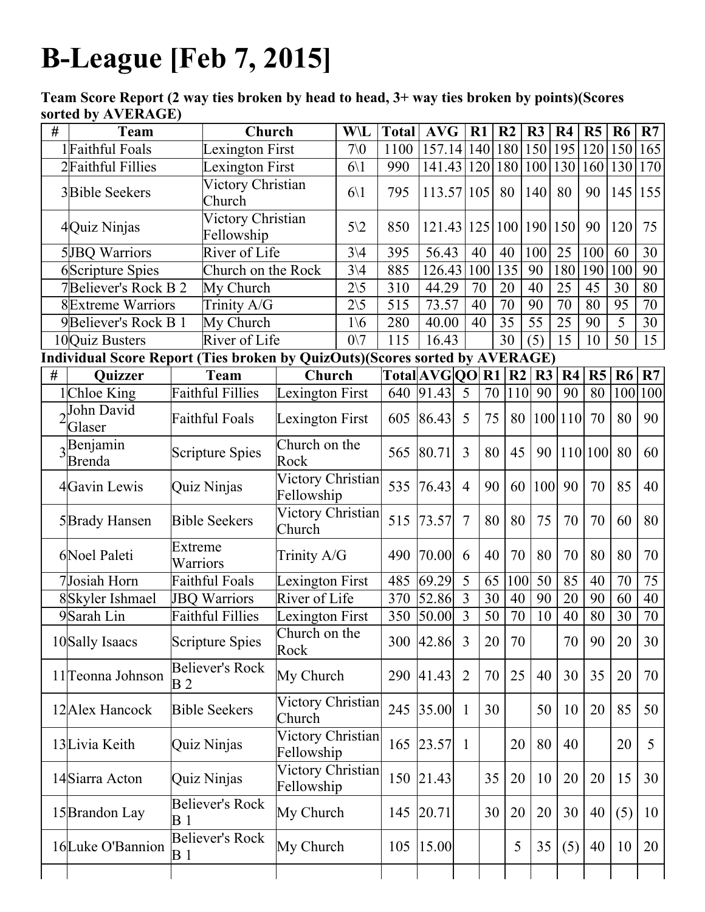## BLeague [Feb 7, 2015]

Team Score Report (2 way ties broken by head to head, 3+ way ties broken by points)(Scores sorted by AVERAGE)

|   | <b>Team</b>                                                                 |                                          | Church                             |                                        | W\L                        | <b>Total</b> | <b>AVG</b>             | $R1$           |         | R <sub>2</sub>  | R <sub>3</sub>                   | R <sub>4</sub> | R5      | R <sub>6</sub>  | R7              |
|---|-----------------------------------------------------------------------------|------------------------------------------|------------------------------------|----------------------------------------|----------------------------|--------------|------------------------|----------------|---------|-----------------|----------------------------------|----------------|---------|-----------------|-----------------|
|   | 1Faithful Foals                                                             |                                          | Lexington First                    |                                        | 70 <sub>0</sub>            | 1100         | 157.14                 |                | 140 180 |                 | 150                              | 195            | 120     | 150             | 165             |
|   | 2Faithful Fillies                                                           |                                          | Lexington First                    |                                        | $6\backslash1$             | 990          | 141.43 120 180         |                |         |                 | 100                              | 130 160        |         | 130             | 170             |
|   | 3 <b>Bible Seekers</b>                                                      |                                          | <b>Victory Christian</b><br>Church |                                        | $6\backslash1$             | 795          | 113.57                 | 105            |         | 80              | 140                              | 80             | 90      | 145 155         |                 |
|   | 4Quiz Ninjas                                                                |                                          | Victory Christian<br>Fellowship    |                                        | $5\sqrt{2}$                | 850          | 121.43 125 100 190 150 |                |         |                 |                                  |                | 90      | 120             | 75              |
|   | <b>5</b> JBQ Warriors                                                       |                                          | River of Life                      |                                        | $\overline{3}\backslash 4$ | 395          | 56.43                  | 40             |         | 40              | 100                              | 25             | 100     | 60              | 30              |
|   | 6Scripture Spies                                                            |                                          | Church on the Rock                 |                                        | $3\sqrt{4}$                | 885          | 126.43                 | 100            |         | 135             | 90                               | 180            | 190     | 100             | 90              |
|   | <b>7Believer's Rock B 2</b>                                                 |                                          | My Church                          |                                        | $2\backslash 5$            | 310          | 44.29                  | 70             |         | 20              | 40                               | 25             | 45      | 30              | 80              |
|   | <b>8</b> Extreme Warriors                                                   |                                          | Trinity A/G                        |                                        | $\overline{2\setminus 5}$  | 515          | 73.57                  | 40             |         | $\overline{70}$ | 90                               | 70             | 80      | $\overline{95}$ | $\overline{70}$ |
|   | 9Believer's Rock B 1                                                        |                                          | My Church                          |                                        | $1\backslash 6$            | 280          | 40.00                  | 40             |         | 35              | 55                               | 25             | 90      | 5               | 30              |
|   | 10Quiz Busters                                                              |                                          | River of Life                      |                                        | $0\vee 7$                  | 115          | 16.43                  |                |         | 30              | (5)                              | 15             | 10      | $\overline{50}$ | 15              |
|   | Individual Score Report (Ties broken by QuizOuts)(Scores sorted by AVERAGE) |                                          |                                    |                                        |                            |              |                        |                |         |                 |                                  |                |         |                 |                 |
| # | <b>Quizzer</b>                                                              |                                          | <b>Team</b>                        | Church                                 |                            |              | Total[AVG[QO] R1   R2] |                |         |                 | R <sub>4</sub><br>R <sub>3</sub> |                | R5      | <b>R6</b>       | R7              |
|   | 1Chloe King                                                                 |                                          | <b>Faithful Fillies</b>            | Lexington First                        |                            |              | 640 91.43              | 5              | 70      | 110             | 90                               | 90             | 80      | 100             | 100             |
|   | John David<br>Glaser                                                        | Faithful Foals                           |                                    | <b>Lexington First</b>                 |                            |              | 605 86.43              | 5              | 75      | 80              |                                  | 100 110        | 70      | 80              | 90              |
|   | $3$ <sup>Benjamin</sup><br><b>Brenda</b>                                    |                                          | <b>Scripture Spies</b>             | Church on the<br>Rock                  |                            | 565          | 80.71                  | $\overline{3}$ | 80      | 45              | 90                               |                | 110 100 | 80              | 60              |
|   | 4Gavin Lewis                                                                | Quiz Ninjas                              |                                    | Victory Christian<br>Fellowship        |                            | 535          | 76.43                  | $\overline{4}$ | 90      | 60              | <b>100</b>                       | 90             | 70      | 85              | 40              |
|   | 5Brady Hansen                                                               | <b>Bible Seekers</b>                     |                                    | Victory Christian<br>Church            |                            | 515          | 73.57                  | $\overline{7}$ | 80      | 80              | 75                               | 70             | 70      | 60              | 80              |
|   | 6Noel Paleti                                                                | Extreme<br>Warriors                      |                                    | Trinity A/G                            |                            | 490          | 70.00                  | 6              | 40      | 70              | 80                               | 70             | 80      | 80              | 70              |
|   | 7Josiah Horn                                                                |                                          | <b>Faithful Foals</b>              | <b>Lexington First</b>                 |                            | 485          | 69.29                  | 5              | 65      | 100             | 50                               | 85             | 40      | 70              | $\overline{75}$ |
|   | 8Skyler Ishmael                                                             |                                          | <b>JBQ Warriors</b>                | River of Life                          |                            | 370          | 52.86                  | $\overline{3}$ | 30      | 40              | 90                               | 20             | 90      | 60              | 40              |
|   | 9Sarah Lin                                                                  | <b>Faithful Fillies</b>                  |                                    | Lexington First                        |                            | 350          | 50.00                  | $\overline{3}$ | 50      | 70              | 10                               | 40             | 80      | 30              | 70              |
|   | 10Sally Isaacs                                                              | Scripture Spies                          |                                    | Church on the<br>Rock                  |                            |              | 300 42.86 3            |                | 20      | 70              |                                  | 70             | 90      | 20              | 30              |
|   | 11 <sup>T</sup> eonna Johnson                                               | <b>Believer's Rock</b><br>B <sub>2</sub> |                                    | My Church                              |                            |              | 290 41.43              | 2              | 70      | 25              | 40                               | 30             | 35      | 20              | 70              |
|   | 12 Alex Hancock                                                             | <b>Bible Seekers</b>                     |                                    | Victory Christian<br>Church            |                            |              | 245 35.00              | $\mathbf{1}$   | 30      |                 | 50                               | 10             | 20      | 85              | 50              |
|   | 13Livia Keith                                                               | Quiz Ninjas                              |                                    | Victory Christian<br>Fellowship        |                            |              | 165 23.57              | $\overline{1}$ |         | 20              | 80                               | 40             |         | 20              | 5               |
|   | 14Siarra Acton                                                              | Quiz Ninjas                              |                                    | <b>Victory Christian</b><br>Fellowship |                            |              | 150 21.43              |                | 35      | 20              | 10                               | 20             | 20      | 15              | 30              |
|   | 15 Brandon Lay                                                              | Believer's Rock<br>B <sub>1</sub>        |                                    | My Church                              |                            |              | 145 20.71              |                | 30      | 20              | 20                               | 30             | 40      | (5)             | 10              |
|   | 16Luke O'Bannion                                                            | <b>Believer's Rock</b><br><b>B</b> 1     |                                    | My Church                              |                            |              | 105   15.00            |                |         | 5               | 35                               | (5)            | 40      | 10              | 20              |
|   |                                                                             |                                          |                                    |                                        |                            |              |                        |                |         |                 |                                  |                |         |                 |                 |